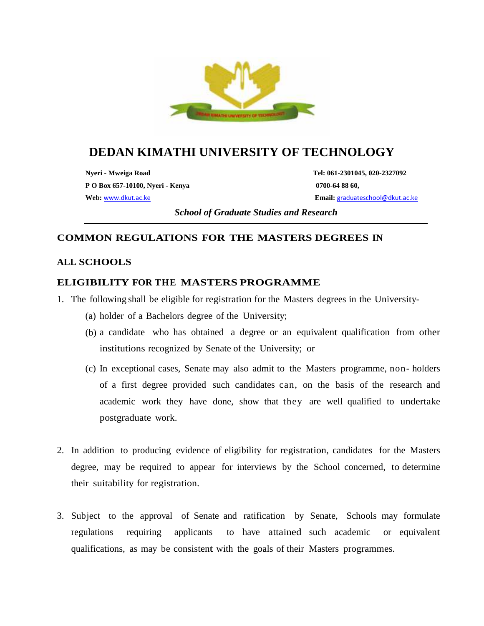

# **DEDAN KIMATHI UNIVERSITY OF TECHNOLOGY**

**Nyeri - Mweiga Road Tel: 061-2301045, 020-2327092 P O Box 657-10100, Nyeri - Kenya 0700-64 88 60, Web:** www.dkut.ac.ke **Email:** graduateschool@dkut.ac.ke

*School of Graduate Studies and Research*

## **COMMON REGULATIONS FOR THE MASTERS DEGREES IN**

## **ALL SCHOOLS**

## **ELIGIBILITY FOR THE MASTERS PROGRAMME**

- 1. The following shall be eligible for registration for the Masters degrees in the University-
	- (a) holder of a Bachelors degree of the University;
	- (b) a candidate who has obtained a degree or an equivalent qualification from other institutions recognized by Senate of the University; or
	- (c) In exceptional cases, Senate may also admit to the Masters programme, non- holders of a first degree provided such candidates can, on the basis of the research and academic work they have done, show that they are well qualified to undertake postgraduate work.
- 2. In addition to producing evidence of eligibility for registration, candidates for the Masters degree, may be required to appear for interviews by the School concerned, to determine their suitability for registration.
- 3. Subject to the approval of Senate and ratification by Senate, Schools may formulate regulations requiring applicants to have attained such academic or equivalent qualifications, as may be consistent with the goals of their Masters programmes.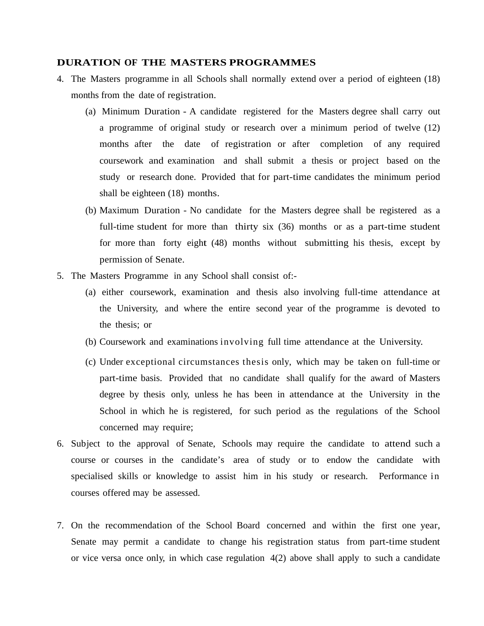### **DURATION OF THE MASTERS PROGRAMMES**

- 4. The Masters programme in all Schools shall normally extend over a period of eighteen (18) months from the date of registration.
	- (a) Minimum Duration A candidate registered for the Masters degree shall carry out a programme of original study or research over a minimum period of twelve (12) months after the date of registration or after completion of any required coursework and examination and shall submit a thesis or project based on the study or research done. Provided that for part-time candidates the minimum period shall be eighteen (18) months.
	- (b) Maximum Duration No candidate for the Masters degree shall be registered as a full-time student for more than thirty six (36) months or as a part-time student for more than forty eight (48) months without submitting his thesis, except by permission of Senate.
- 5. The Masters Programme in any School shall consist of:-
	- (a) either coursework, examination and thesis also involving full-time attendance at the University, and where the entire second year of the programme is devoted to the thesis; or
	- (b) Coursework and examinations involving full time attendance at the University.
	- (c) Under exceptional circumstances thesis only, which may be taken on full-time or part-time basis. Provided that no candidate shall qualify for the award of Masters degree by thesis only, unless he has been in attendance at the University in the School in which he is registered, for such period as the regulations of the School concerned may require;
- 6. Subject to the approval of Senate, Schools may require the candidate to attend such a course or courses in the candidate's area of study or to endow the candidate with specialised skills or knowledge to assist him in his study or research. Performance in courses offered may be assessed.
- 7. On the recommendation of the School Board concerned and within the first one year, Senate may permit a candidate to change his registration status from part-time student or vice versa once only, in which case regulation 4(2) above shall apply to such a candidate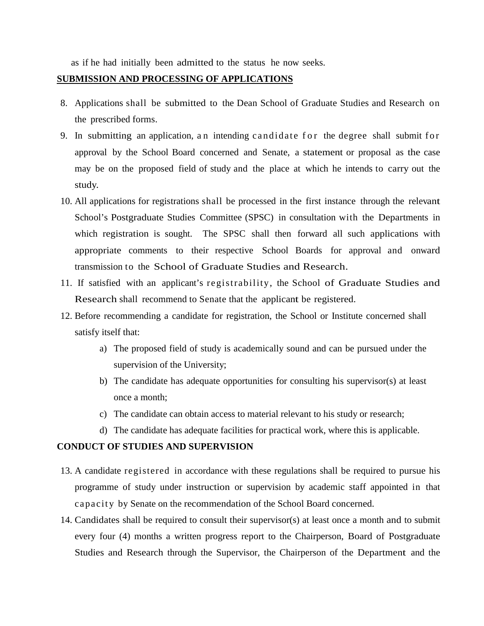as if he had initially been admitted to the status he now seeks.

#### **SUBMISSION AND PROCESSING OF APPLICATIONS**

- 8. Applications shall be submitted to the Dean School of Graduate Studies and Research on the prescribed forms. 9. In submitting an application, an intending candidate for the degree shall submit for<br>19. In submitting an application, an intending candidate for the degree shall submit for<br>19. In submitting an application, an intendin
- approval by the School Board concerned and Senate, a statement or proposal as the case may be on the proposed field of study and the place at which he intends to carry out the study.
- 10. All applications for registrations shall be processed in the first instance through the relevant School's Postgraduate Studies Committee (SPSC) in consultation with the Departments in which registration is sought. The SPSC shall then forward all such applications with appropriate comments to their respective School Boards for approval and onward transmission to the School of Graduate Studies and Research.
- 11. If satisfied with an applicant's registrability, the School of Graduate Studies and Research shall recommend to Senate that the applicant be registered.
- 12. Before recommending a candidate for registration, the School or Institute concerned shall satisfy itself that:
	- a) The proposed field of study is academically sound and can be pursued under the supervision of the University;
	- b) The candidate has adequate opportunities for consulting his supervisor(s) at least once a month;
	- c) The candidate can obtain access to material relevant to his study or research;
	- d) The candidate has adequate facilities for practical work, where this is applicable.

#### **CONDUCT OF STUDIES AND SUPERVISION**

- 13. A candidate registered in accordance with these regulations shall be required to pursue his programme of study under instruction or supervision by academic staff appointed in that COUCT OF STUDIES AND SUPERVISION<br>A candidate registered in accordance with these regulations shall be required to<br>programme of study under instruction or supervision by academic staff appoi<br>capacity by Senate on the recomm
- 14. Candidates shall be required to consult their supervisor(s) at least once a month and to submit every four (4) months a written progress report to the Chairperson, Board of Postgraduate Studies and Research through the Supervisor, the Chairperson of the Department and the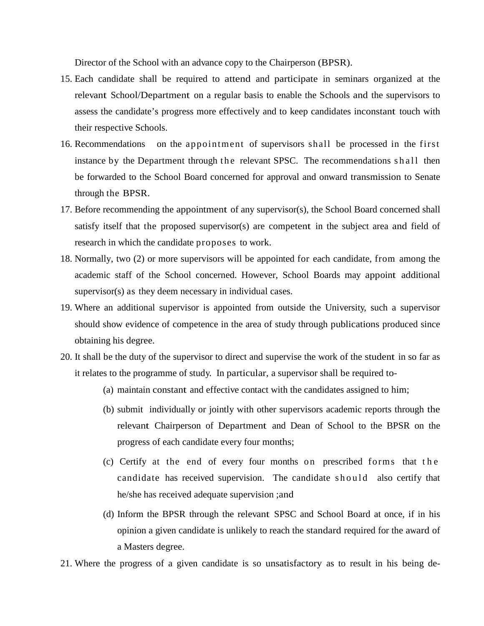Director of the School with an advance copy to the Chairperson (BPSR).

- 15. Each candidate shall be required to attend and participate in seminars organized at the relevant School/Department on a regular basis to enable the Schools and the supervisors to assess the candidate's progress more effectively and to keep candidates inconstant touch with their respective Schools.
- 16. Recommendations on the appointment of supervisors shall be processed in the first instance by the Department through the relevant SPSC. The recommendations shall then be forwarded to the School Board concerned for approval and onward transmission to Senate through the BPSR.
- 17. Before recommending the appointment of any supervisor(s), the School Board concerned shall satisfy itself that the proposed supervisor(s) are competent in the subject area and field of research in which the candidate proposes to work.
- 18. Normally, two (2) or more supervisors will be appointed for each candidate, from among the academic staff of the School concerned. However, School Boards may appoint additional supervisor(s) as they deem necessary in individual cases.
- 19. Where an additional supervisor is appointed from outside the University, such a supervisor should show evidence of competence in the area of study through publications produced since obtaining his degree.
- 20. It shall be the duty of the supervisor to direct and supervise the work of the student in so far as it relates to the programme of study. In particular, a supervisor shall be required to-
	- (a) maintain constant and effective contact with the candidates assigned to him;
	- (b) submit individually or jointly with other supervisors academic reports through the progress of each candidate every four months;
	- relevant Chairperson of Department and Dean of School to the BPSR on the<br>progress of each candidate every four months;<br>Certify at the end of every four months on prescribed forms that the<br>candidate has received supervision (c) Certify at the end of every four months on prescribed forms that the candidate has received supervision. The candidate should also certify that he/she has received adequate supervision ;and
	- (d) Inform the BPSR through the relevant SPSC and School Board at once, if in his opinion a given candidate is unlikely to reach the standard required for the award of a Masters degree.
- 21. Where the progress of a given candidate is so unsatisfactory as to result in his being de-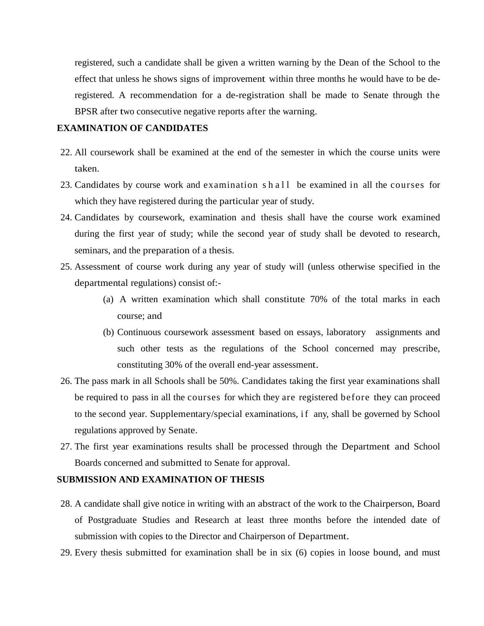registered, such a candidate shall be given a written warning by the Dean of the School to the effect that unless he shows signs of improvement within three months he would have to be deregistered. A recommendation for a de-registration shall be made to Senate through the BPSR after two consecutive negative reports after the warning.

#### **EXAMINATION OF CANDIDATES**

- 22. All coursework shall be examined at the end of the semester in which the course units were taken.
- 23. Candidates by course work and examination shall be examined in all the courses for which they have registered during the particular year of study.
- 24. Candidates by coursework, examination and thesis shall have the course work examined during the first year of study; while the second year of study shall be devoted to research, seminars, and the preparation of a thesis.
- 25. Assessment of course work during any year of study will (unless otherwise specified in the departmental regulations) consist of:-
	- (a) A written examination which shall constitute 70% of the total marks in each course; and
	- (b) Continuous coursework assessment based on essays, laboratory assignments and such other tests as the regulations of the School concerned may prescribe, constituting 30% of the overall end-year assessment.
- 26. The pass mark in all Schools shall be 50%. Candidates taking the first year examinations shall be required to pass in all the courses for which they are registered before they can proceed constituting 30% of the overall end-year assessment.<br>The pass mark in all Schools shall be 50%. Candidates taking the first year examinations shall<br>be required to pass in all the courses for which they are registered befor regulations approved by Senate.
- 27. The first year examinations results shall be processed through the Department and School Boards concerned and submitted to Senate for approval.

#### **SUBMISSION AND EXAMINATION OF THESIS**

- 28. A candidate shall give notice in writing with an abstract of the work to the Chairperson, Board of Postgraduate Studies and Research at least three months before the intended date of submission with copies to the Director and Chairperson of Department.
- 29. Every thesis submitted for examination shall be in six (6) copies in loose bound, and must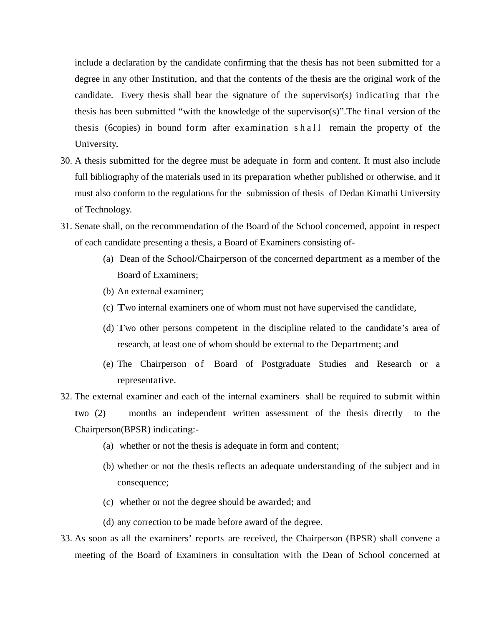include a declaration by the candidate confirming that the thesis has not been submitted for a degree in any other Institution, and that the contents of the thesis are the original work of the candidate. Every thesis shall bear the signature of the supervisor(s) indicating that the thesis has been submitted "with the knowledge of the supervisor(s)".The final version of the degree in any other Institution, and that the contents of the thesis are the original work of the candidate. Every thesis shall bear the signature of the supervisor(s) indicating that the thesis has been submitted "with th University.

- 30. A thesis submitted for the degree must be adequate in form and content. It must also include full bibliography of the materials used in its preparation whether published or otherwise, and it must also conform to the regulations for the submission of thesis of Dedan Kimathi University of Technology.
- 31. Senate shall, on the recommendation of the Board of the School concerned, appoint in respect of each candidate presenting a thesis, a Board of Examiners consisting of-
	- (a) Dean of the School/Chairperson of the concerned department as a member of the Board of Examiners;
	- (b) An external examiner;
	- (c) Two internal examiners one of whom must not have supervised the candidate,
	- (d) Two other persons competent in the discipline related to the candidate's area of research, at least one of whom should be external to the Department; and
	- (e) The Chairperson of Board of Postgraduate Studies and Research or a representative.
- 32. The external examiner and each of the internal examiners shall be required to submit within two (2) months an independent written assessment of the thesis directly to the Chairperson(BPSR) indicating:-
	- (a) whether or not the thesis is adequate in form and content;
	- (b) whether or not the thesis reflects an adequate understanding of the subject and in consequence;
	- (c) whether or not the degree should be awarded; and
	- (d) any correction to be made before award of the degree.
- 33. As soon as all the examiners' reports are received, the Chairperson (BPSR) shall convene a meeting of the Board of Examiners in consultation with the Dean of School concerned at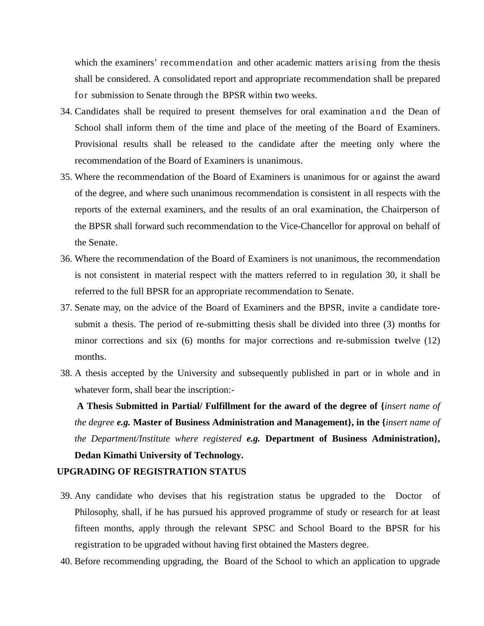which the examiners' recommendation and other academic matters arising from the thesis shall be considered. A consolidated report and appropriate recommendation shall be prepared for submission to Senate through the BPSR within two weeks.

- 34. Candidates shall be required to present themselves for oral examination and the Dean of School shall inform them of the time and place of the meeting of the Board of Examiners. Provisional results shall be released to the candidate after the meeting only where the recommendation of the Board of Examiners is unanimous.
- 35. Where the recommendation of the Board of Examiners is unanimous for or against the award of the degree, and where such unanimous recommendation is consistent in all respects with the reports of the external examiners, and the results of an oral examination, the Chairperson of the BPSR shall forward such recommendation to the Vice-Chancellor for approval on behalf of the Senate.
- 36. Where the recommendation of the Board of Examiners is not unanimous, the recommendation is not consistent in material respect with the matters referred to in regulation 30, it shall be referred to the full BPSR for an appropriate recommendation to Senate.
- 37. Senate may, on the advice of the Board of Examiners and the BPSR, invite a candidate tore submit a thesis. The period of re-submitting thesis shall be divided into three (3) months for minor corrections and six (6) months for major corrections and re-submission twelve (12) months.
- 38. A thesis accepted by the University and subsequently published in part or in whole and in whatever form, shall bear the inscription:-

**A Thesis Submitted in Partial/ Fulfillment for the award of the degree of {***insert name of the degree e.g.* **Master of Business Administration and Management}, in the {***insert name of the Department/Institute where registered e.g.* **Department of Business Administration}, Dedan Kimathi University of Technology.**

#### **UPGRADING OF REGISTRATION STATUS**

- 39. Any candidate who devises that his registration status be upgraded to the Doctor of Philosophy, shall, if he has pursued his approved programme of study or research for at least fifteen months, apply through the relevant SPSC and School Board to the BPSR for his registration to be upgraded without having first obtained the Masters degree.
- 40. Before recommending upgrading, the Board of the School to which an application to upgrade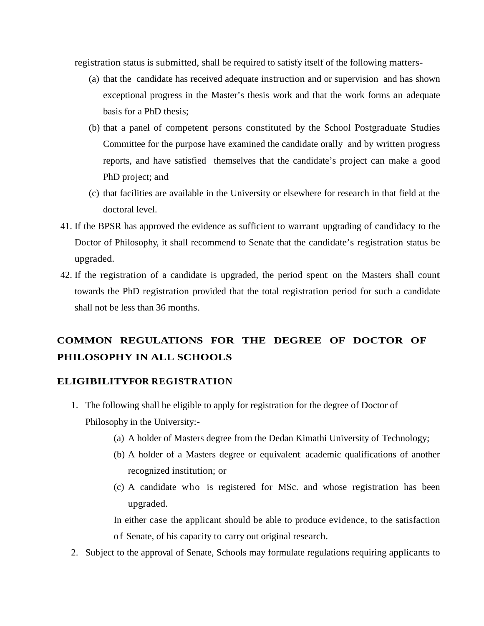registration status is submitted, shall be required to satisfy itself of the following matters-

- (a) that the candidate has received adequate instruction and or supervision and has shown exceptional progress in the Master's thesis work and that the work forms an adequate basis for a PhD thesis;
- (b) that a panel of competent persons constituted by the School Postgraduate Studies Committee for the purpose have examined the candidate orally and by written progress reports, and have satisfied themselves that the candidate's project can make a good PhD project; and
- (c) that facilities are available in the University or elsewhere for research in that field at the doctoral level.
- 41. If the BPSR has approved the evidence as sufficient to warrant upgrading of candidacy to the Doctor of Philosophy, it shall recommend to Senate that the candidate's registration status be upgraded.
- 42. If the registration of a candidate is upgraded, the period spent on the Masters shall count towards the PhD registration provided that the total registration period for such a candidate shall not be less than 36 months.

## **COMMON REGULATIONS FOR THE DEGREE OF DOCTOR OF PHILOSOPHY IN ALL SCHOOLS**

#### **ELIGIBILITYFOR REGISTRATION**

- 1. The following shall be eligible to apply for registration for the degree of Doctor of Philosophy in the University:-
	- (a) A holder of Masters degree from the Dedan Kimathi University of Technology;
	- (b) A holder of a Masters degree or equivalent academic qualifications of another recognized institution; or
	- upgraded.

(c) A candidate who is registered for MSc. and whose registration has been<br>upgraded.<br>In either case the applicant should be able to produce evidence, to the satisfaction<br>of Senate, of his capacity to carry out original res In either case the applicant should be able to produce evidence, to the satisfaction

2. Subject to the approval of Senate, Schools may formulate regulations requiring applicants to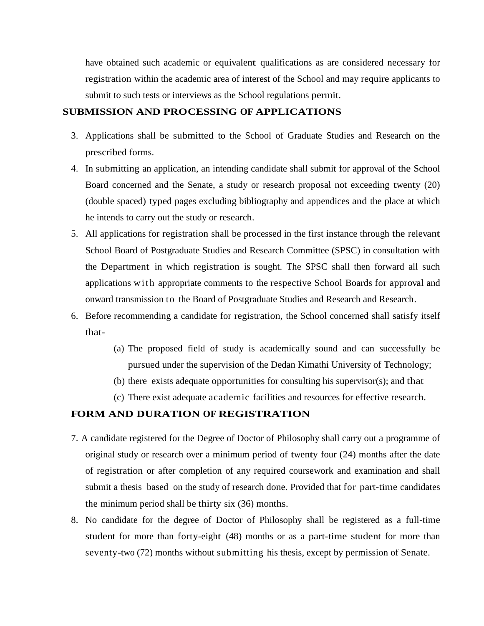have obtained such academic or equivalent qualifications as are considered necessary for registration within the academic area of interest of the School and may require applicants to submit to such tests or interviews as the School regulations permit.

#### **SUBMISSION AND PROCESSING OF APPLICATIONS**

- 3. Applications shall be submitted to the School of Graduate Studies and Research on the prescribed forms.
- 4. In submitting an application, an intending candidate shall submit for approval of the School Board concerned and the Senate, a study or research proposal not exceeding twenty (20) (double spaced) typed pages excluding bibliography and appendices and the place at which he intends to carry out the study or research.
- 5. All applications for registration shall be processed in the first instance through the relevant<br>School Board of Postgraduate Studies and Research Committee (SPSC) in consultation with<br>the Department in which registratio School Board of Postgraduate Studies and Research Committee (SPSC) in consultation with the Department in which registration is sought. The SPSC shall then forward all such onward transmission to the Board of Postgraduate Studies and Research and Research.
- 6. Before recommending a candidate for registration, the School concerned shall satisfy itself that-
	- (a) The proposed field of study is academically sound and can successfully be pursued under the supervision of the Dedan Kimathi University of Technology;
	- (b) there exists adequate opportunities for consulting his supervisor(s); and that
	- (c) There exist adequate academic facilities and resources for effective research.

## **FORM AND DURATION OF REGISTRATION**

- 7. A candidate registered for the Degree of Doctor of Philosophy shall carry out a programme of original study or research over a minimum period of twenty four (24) months after the date of registration or after completion of any required coursework and examination and shall submit a thesis based on the study of research done. Provided that for part-time candidates the minimum period shall be thirty six (36) months.
- 8. No candidate for the degree of Doctor of Philosophy shall be registered as a full-time student for more than forty-eight (48) months or as a part-time student for more than seventy-two (72) months without submitting his thesis, except by permission of Senate.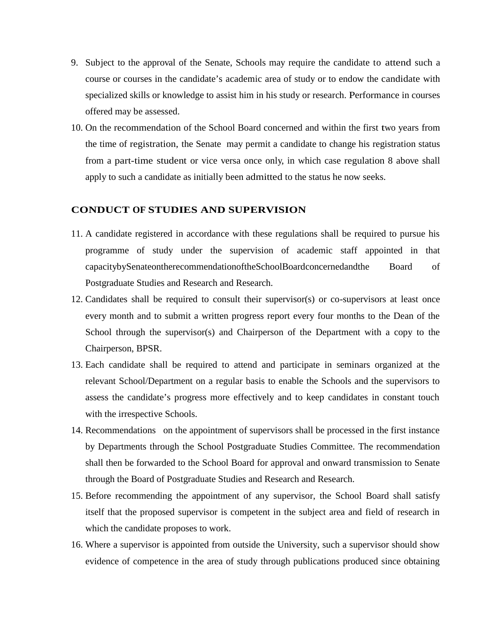- 9. Subject to the approval of the Senate, Schools may require the candidate to attend such a course or courses in the candidate's academic area of study or to endow the candidate with specialized skills or knowledge to assist him in his study or research. Performance in courses offered may be assessed.
- 10. On the recommendation of the School Board concerned and within the first two years from the time of registration, the Senate may permit a candidate to change his registration status from a part-time student or vice versa once only, in which case regulation 8 above shall apply to such a candidate as initially been admitted to the status he now seeks.

#### **CONDUCT OF STUDIES AND SUPERVISION**

- 11. A candidate registered in accordance with these regulations shall be required to pursue his programme of study under the supervision of academic staff appointed in that capacitybySenateontherecommendationoftheSchoolBoardconcernedandthe Board of Postgraduate Studies and Research and Research.
- 12. Candidates shall be required to consult their supervisor(s) or co-supervisors at least once every month and to submit a written progress report every four months to the Dean of the School through the supervisor(s) and Chairperson of the Department with a copy to the Chairperson, BPSR.
- 13. Each candidate shall be required to attend and participate in seminars organized at the relevant School/Department on a regular basis to enable the Schools and the supervisors to assess the candidate's progress more effectively and to keep candidates in constant touch with the irrespective Schools.
- 14. Recommendations on the appointment of supervisors shall be processed in the first instance by Departments through the School Postgraduate Studies Committee. The recommendation shall then be forwarded to the School Board for approval and onward transmission to Senate through the Board of Postgraduate Studies and Research and Research.
- 15. Before recommending the appointment of any supervisor, the School Board shall satisfy itself that the proposed supervisor is competent in the subject area and field of research in which the candidate proposes to work.
- 16. Where a supervisor is appointed from outside the University, such a supervisor should show evidence of competence in the area of study through publications produced since obtaining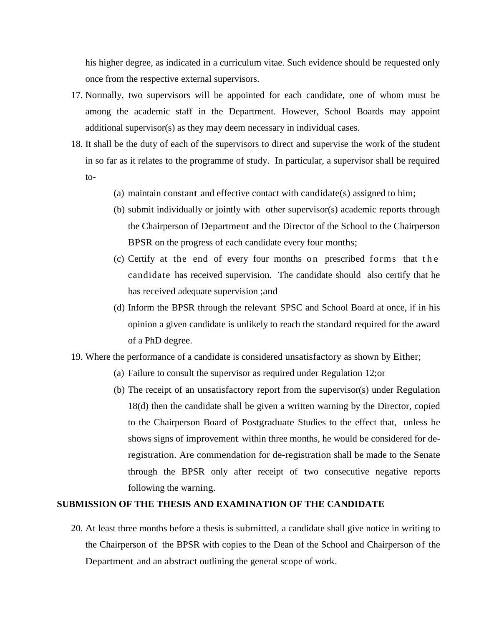his higher degree, as indicated in a curriculum vitae. Such evidence should be requested only once from the respective external supervisors.

- 17. Normally, two supervisors will be appointed for each candidate, one of whom must be among the academic staff in the Department. However, School Boards may appoint additional supervisor(s) as they may deem necessary in individual cases.
- 18. It shall be the duty of each of the supervisors to direct and supervise the work of the student in so far as it relates to the programme of study. In particular, a supervisor shall be required to-
	- (a) maintain constant and effective contact with candidate(s) assigned to him;
	- (b) submit individually or jointly with other supervisor(s) academic reports through<br>the Chairperson of Department and the Director of the School to the Chairperson<br>BPSR on the progress of each candidate every four months; the Chairperson of Department and the Director of the School to the Chairperson BPSR on the progress of each candidate every four months;
	- candidate has received supervision. The candidate should also certify that he has received adequate supervision ;and
	- (d) Inform the BPSR through the relevant SPSC and School Board at once, if in his opinion a given candidate is unlikely to reach the standard required for the award of a PhD degree.
- 19. Where the performance of a candidate is considered unsatisfactory as shown by Either;
	- (a) Failure to consult the supervisor as required under Regulation 12;or
	- (b) The receipt of an unsatisfactory report from the supervisor(s) under Regulation 18(d) then the candidate shall be given a written warning by the Director, copied to the Chairperson Board of Postgraduate Studies to the effect that, unless he shows signs of improvement within three months, he would be considered for deregistration. Are commendation for de-registration shall be made to the Senate through the BPSR only after receipt of two consecutive negative reports following the warning.

#### **SUBMISSION OF THE THESIS AND EXAMINATION OF THE CANDIDATE**

20. At least three months before a thesis is submitted, a candidate shall give notice in writing to the Chairperson of the BPSR with copies to the Dean of the School and Chairperson of the Department and an abstract outlining the general scope of work.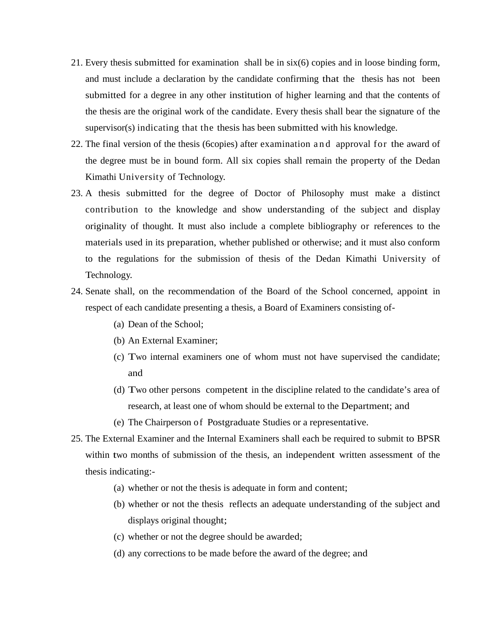- 21. Every thesis submitted for examination shall be in six(6) copies and in loose binding form, and must include a declaration by the candidate confirming that the thesis has not been submitted for a degree in any other institution of higher learning and that the contents of<br>the thesis are the original work of the candidate. Every thesis shall bear the signature of the<br>supervisor(s) indicating that the the thesis are the original work of the candidate. Every thesis shall bear the signature of the supervisor(s) indicating that the thesis has been submitted with his knowledge.
- the degree must be in bound form. All six copies shall remain the property of the Dedan Kimathi University of Technology.
- 23. A thesis submitted for the degree of Doctor of Philosophy must make a distinct contribution to the knowledge and show understanding of the subject and display originality of thought. It must also include a complete bibliography or references to the materials used in its preparation, whether published or otherwise; and it must also conform to the regulations for the submission of thesis of the Dedan Kimathi University of Technology.
- 24. Senate shall, on the recommendation of the Board of the School concerned, appoint in respect of each candidate presenting a thesis, a Board of Examiners consisting of-
	- (a) Dean of the School;
	- (b) An External Examiner;
	- (c) Two internal examiners one of whom must not have supervised the candidate; and
	- (d) Two other persons competent in the discipline related to the candidate's area of research, at least one of whom should be external to the Department; and
	- (e) The Chairperson of Postgraduate Studies or a representative.
- 25. The External Examiner and the Internal Examiners shall each be required to submit to BPSR within two months of submission of the thesis, an independent written assessment of the thesis indicating:-
	- (a) whether or not the thesis is adequate in form and content;
	- (b) whether or not the thesis reflects an adequate understanding of the subject and displays original thought;
	- (c) whether or not the degree should be awarded;
	- (d) any corrections to be made before the award of the degree; and